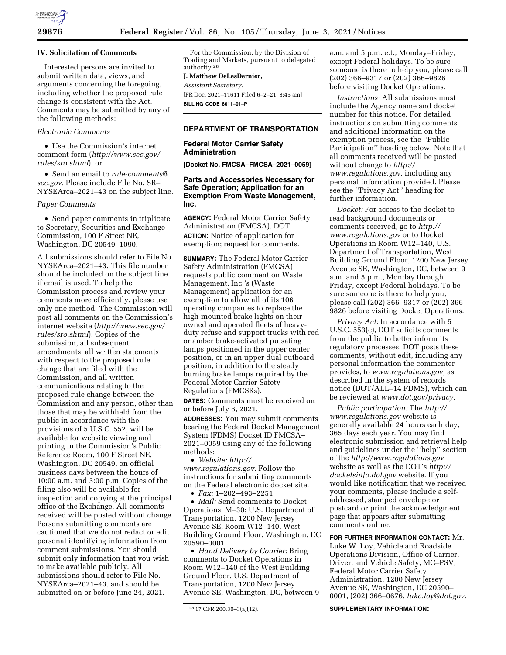

### **IV. Solicitation of Comments**

Interested persons are invited to submit written data, views, and arguments concerning the foregoing, including whether the proposed rule change is consistent with the Act. Comments may be submitted by any of the following methods:

# *Electronic Comments*

• Use the Commission's internet comment form (*[http://www.sec.gov/](http://www.sec.gov/rules/sro.shtml)  [rules/sro.shtml](http://www.sec.gov/rules/sro.shtml)*); or

• Send an email to *[rule-comments@](mailto:rule-comments@sec.gov) [sec.gov.](mailto:rule-comments@sec.gov)* Please include File No. SR– NYSEArca–2021–43 on the subject line.

### *Paper Comments*

• Send paper comments in triplicate to Secretary, Securities and Exchange Commission, 100 F Street NE, Washington, DC 20549–1090.

All submissions should refer to File No. NYSEArca–2021–43. This file number should be included on the subject line if email is used. To help the Commission process and review your comments more efficiently, please use only one method. The Commission will post all comments on the Commission's internet website (*[http://www.sec.gov/](http://www.sec.gov/rules/sro.shtml)  [rules/sro.shtml](http://www.sec.gov/rules/sro.shtml)*). Copies of the submission, all subsequent amendments, all written statements with respect to the proposed rule change that are filed with the Commission, and all written communications relating to the proposed rule change between the Commission and any person, other than those that may be withheld from the public in accordance with the provisions of 5 U.S.C. 552, will be available for website viewing and printing in the Commission's Public Reference Room, 100 F Street NE, Washington, DC 20549, on official business days between the hours of 10:00 a.m. and 3:00 p.m. Copies of the filing also will be available for inspection and copying at the principal office of the Exchange. All comments received will be posted without change. Persons submitting comments are cautioned that we do not redact or edit personal identifying information from comment submissions. You should submit only information that you wish to make available publicly. All submissions should refer to File No. NYSEArca–2021–43, and should be submitted on or before June 24, 2021.

For the Commission, by the Division of Trading and Markets, pursuant to delegated authority.28

# **J. Matthew DeLesDernier,**

*Assistant Secretary.* 

[FR Doc. 2021–11611 Filed 6–2–21; 8:45 am] **BILLING CODE 8011–01–P** 

# **DEPARTMENT OF TRANSPORTATION**

### **Federal Motor Carrier Safety Administration**

**[Docket No. FMCSA–FMCSA–2021–0059]** 

## **Parts and Accessories Necessary for Safe Operation; Application for an Exemption From Waste Management, Inc.**

**AGENCY:** Federal Motor Carrier Safety Administration (FMCSA), DOT. **ACTION:** Notice of application for exemption; request for comments.

**SUMMARY:** The Federal Motor Carrier Safety Administration (FMCSA) requests public comment on Waste Management, Inc.'s (Waste Management) application for an exemption to allow all of its 106 operating companies to replace the high-mounted brake lights on their owned and operated fleets of heavyduty refuse and support trucks with red or amber brake-activated pulsating lamps positioned in the upper center position, or in an upper dual outboard position, in addition to the steady burning brake lamps required by the Federal Motor Carrier Safety Regulations (FMCSRs).

**DATES:** Comments must be received on or before July 6, 2021.

**ADDRESSES:** You may submit comments bearing the Federal Docket Management System (FDMS) Docket ID FMCSA– 2021–0059 using any of the following methods:

• *Website: [http://](http://www.regulations.gov) [www.regulations.gov.](http://www.regulations.gov)* Follow the instructions for submitting comments on the Federal electronic docket site.

• *Fax:* 1–202–493–2251.

• *Mail:* Send comments to Docket Operations, M–30; U.S. Department of Transportation, 1200 New Jersey Avenue SE, Room W12–140, West Building Ground Floor, Washington, DC 20590–0001.

• *Hand Delivery by Courier:* Bring comments to Docket Operations in Room W12–140 of the West Building Ground Floor, U.S. Department of Transportation, 1200 New Jersey Avenue SE, Washington, DC, between 9 a.m. and 5 p.m. e.t., Monday–Friday, except Federal holidays. To be sure someone is there to help you, please call (202) 366–9317 or (202) 366–9826 before visiting Docket Operations.

*Instructions:* All submissions must include the Agency name and docket number for this notice. For detailed instructions on submitting comments and additional information on the exemption process, see the ''Public Participation'' heading below. Note that all comments received will be posted without change to *[http://](http://www.regulations.gov) [www.regulations.gov,](http://www.regulations.gov)* including any personal information provided. Please see the ''Privacy Act'' heading for further information.

*Docket:* For access to the docket to read background documents or comments received, go to *[http://](http://www.regulations.gov) [www.regulations.gov](http://www.regulations.gov)* or to Docket Operations in Room W12–140, U.S. Department of Transportation, West Building Ground Floor, 1200 New Jersey Avenue SE, Washington, DC, between 9 a.m. and 5 p.m., Monday through Friday, except Federal holidays. To be sure someone is there to help you, please call (202) 366–9317 or (202) 366– 9826 before visiting Docket Operations.

*Privacy Act:* In accordance with 5 U.S.C. 553(c), DOT solicits comments from the public to better inform its regulatory processes. DOT posts these comments, without edit, including any personal information the commenter provides, to *[www.regulations.gov,](http://www.regulations.gov)* as described in the system of records notice (DOT/ALL–14 FDMS), which can be reviewed at *[www.dot.gov/privacy.](http://www.dot.gov/privacy)* 

*Public participation:* The *[http://](http://www.regulations.gov) [www.regulations.gov](http://www.regulations.gov)* website is generally available 24 hours each day, 365 days each year. You may find electronic submission and retrieval help and guidelines under the ''help'' section of the *<http://www.regulations.gov>*  website as well as the DOT's *[http://](http://docketsinfo.dot.gov) [docketsinfo.dot.gov](http://docketsinfo.dot.gov)* website. If you would like notification that we received your comments, please include a selfaddressed, stamped envelope or postcard or print the acknowledgment page that appears after submitting comments online.

**FOR FURTHER INFORMATION CONTACT:** Mr.

Luke W. Loy, Vehicle and Roadside Operations Division, Office of Carrier, Driver, and Vehicle Safety, MC–PSV, Federal Motor Carrier Safety Administration, 1200 New Jersey Avenue SE, Washington, DC 20590– 0001, (202) 366–0676, *[luke.loy@dot.gov.](mailto:luke.loy@dot.gov)* 

#### **SUPPLEMENTARY INFORMATION:**

<sup>28</sup> 17 CFR 200.30–3(a)(12).